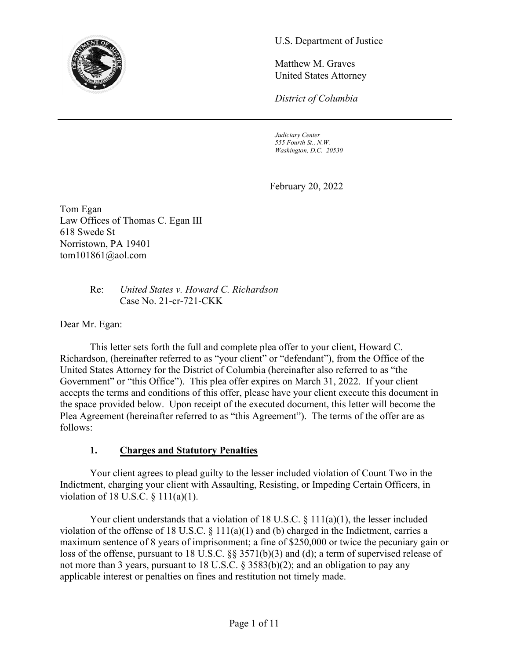

U.S. Department of Justice

Matthew M. Graves United States Attorney

*District of Columbia*

*Judiciary Center 555 Fourth St., N.W. Washington, D.C. 20530*

February 20, 2022

Tom Egan Law Offices of Thomas C. Egan III 618 Swede St Norristown, PA 19401 tom101861@aol.com

> Re: *United States v. Howard C. Richardson*  Case No. 21-cr-721-CKK

Dear Mr. Egan:

This letter sets forth the full and complete plea offer to your client, Howard C. Richardson, (hereinafter referred to as "your client" or "defendant"), from the Office of the United States Attorney for the District of Columbia (hereinafter also referred to as "the Government" or "this Office"). This plea offer expires on March 31, 2022. If your client accepts the terms and conditions of this offer, please have your client execute this document in the space provided below. Upon receipt of the executed document, this letter will become the Plea Agreement (hereinafter referred to as "this Agreement"). The terms of the offer are as follows:

#### **1. Charges and Statutory Penalties**

Your client agrees to plead guilty to the lesser included violation of Count Two in the Indictment, charging your client with Assaulting, Resisting, or Impeding Certain Officers, in violation of 18 U.S.C. § 111(a)(1).

Your client understands that a violation of 18 U.S.C. § 111(a)(1), the lesser included violation of the offense of 18 U.S.C.  $\S$  111(a)(1) and (b) charged in the Indictment, carries a maximum sentence of 8 years of imprisonment; a fine of \$250,000 or twice the pecuniary gain or loss of the offense, pursuant to 18 U.S.C. §§ 3571(b)(3) and (d); a term of supervised release of not more than 3 years, pursuant to 18 U.S.C. § 3583(b)(2); and an obligation to pay any applicable interest or penalties on fines and restitution not timely made.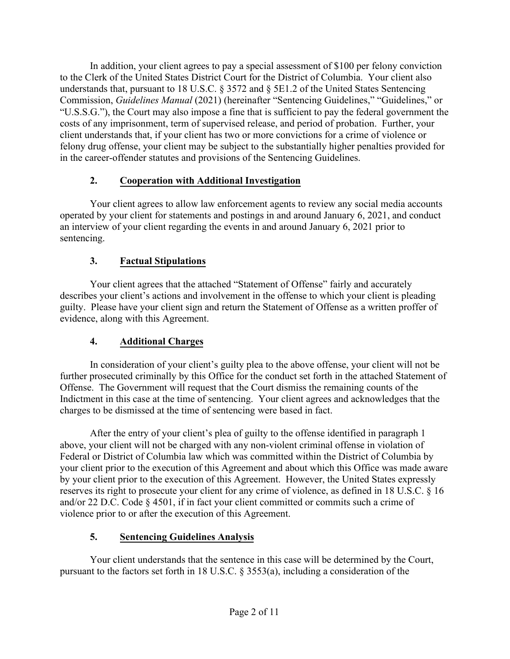In addition, your client agrees to pay a special assessment of \$100 per felony conviction to the Clerk of the United States District Court for the District of Columbia. Your client also understands that, pursuant to 18 U.S.C. § 3572 and § 5E1.2 of the United States Sentencing Commission, *Guidelines Manual* (2021) (hereinafter "Sentencing Guidelines," "Guidelines," or "U.S.S.G."), the Court may also impose a fine that is sufficient to pay the federal government the costs of any imprisonment, term of supervised release, and period of probation. Further, your client understands that, if your client has two or more convictions for a crime of violence or felony drug offense, your client may be subject to the substantially higher penalties provided for in the career-offender statutes and provisions of the Sentencing Guidelines.

# **2. Cooperation with Additional Investigation**

Your client agrees to allow law enforcement agents to review any social media accounts operated by your client for statements and postings in and around January 6, 2021, and conduct an interview of your client regarding the events in and around January 6, 2021 prior to sentencing.

# **3. Factual Stipulations**

Your client agrees that the attached "Statement of Offense" fairly and accurately describes your client's actions and involvement in the offense to which your client is pleading guilty. Please have your client sign and return the Statement of Offense as a written proffer of evidence, along with this Agreement.

# **4. Additional Charges**

In consideration of your client's guilty plea to the above offense, your client will not be further prosecuted criminally by this Office for the conduct set forth in the attached Statement of Offense. The Government will request that the Court dismiss the remaining counts of the Indictment in this case at the time of sentencing. Your client agrees and acknowledges that the charges to be dismissed at the time of sentencing were based in fact.

After the entry of your client's plea of guilty to the offense identified in paragraph 1 above, your client will not be charged with any non-violent criminal offense in violation of Federal or District of Columbia law which was committed within the District of Columbia by your client prior to the execution of this Agreement and about which this Office was made aware by your client prior to the execution of this Agreement. However, the United States expressly reserves its right to prosecute your client for any crime of violence, as defined in 18 U.S.C. § 16 and/or 22 D.C. Code § 4501, if in fact your client committed or commits such a crime of violence prior to or after the execution of this Agreement.

# **5. Sentencing Guidelines Analysis**

Your client understands that the sentence in this case will be determined by the Court, pursuant to the factors set forth in 18 U.S.C. § 3553(a), including a consideration of the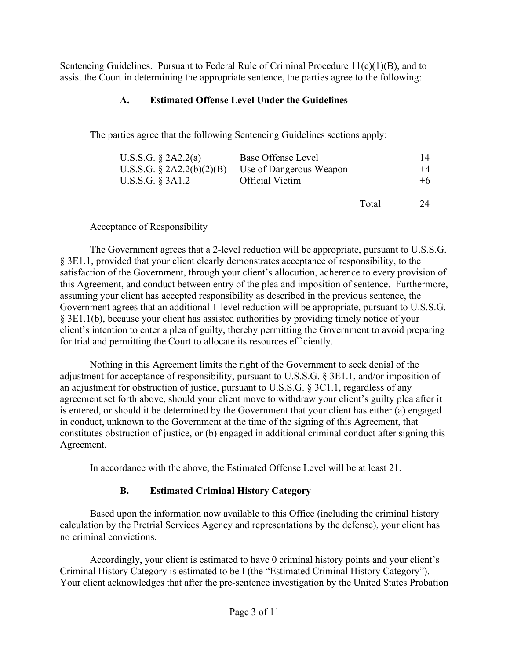Sentencing Guidelines. Pursuant to Federal Rule of Criminal Procedure  $11(c)(1)(B)$ , and to assist the Court in determining the appropriate sentence, the parties agree to the following:

### **A. Estimated Offense Level Under the Guidelines**

The parties agree that the following Sentencing Guidelines sections apply:

| U.S.S.G. $\S$ 2A2.2(a)       | Base Offense Level      | 14   |
|------------------------------|-------------------------|------|
| U.S.S.G. $\S$ 2A2.2(b)(2)(B) | Use of Dangerous Weapon | $+4$ |
| U.S.S.G. § 3A1.2             | <b>Official Victim</b>  | $+6$ |
|                              |                         |      |

Total 24

Acceptance of Responsibility

The Government agrees that a 2-level reduction will be appropriate, pursuant to U.S.S.G. § 3E1.1, provided that your client clearly demonstrates acceptance of responsibility, to the satisfaction of the Government, through your client's allocution, adherence to every provision of this Agreement, and conduct between entry of the plea and imposition of sentence. Furthermore, assuming your client has accepted responsibility as described in the previous sentence, the Government agrees that an additional 1-level reduction will be appropriate, pursuant to U.S.S.G. § 3E1.1(b), because your client has assisted authorities by providing timely notice of your client's intention to enter a plea of guilty, thereby permitting the Government to avoid preparing for trial and permitting the Court to allocate its resources efficiently.

Nothing in this Agreement limits the right of the Government to seek denial of the adjustment for acceptance of responsibility, pursuant to U.S.S.G. § 3E1.1, and/or imposition of an adjustment for obstruction of justice, pursuant to U.S.S.G. § 3C1.1, regardless of any agreement set forth above, should your client move to withdraw your client's guilty plea after it is entered, or should it be determined by the Government that your client has either (a) engaged in conduct, unknown to the Government at the time of the signing of this Agreement, that constitutes obstruction of justice, or (b) engaged in additional criminal conduct after signing this Agreement.

In accordance with the above, the Estimated Offense Level will be at least 21.

#### **B. Estimated Criminal History Category**

Based upon the information now available to this Office (including the criminal history calculation by the Pretrial Services Agency and representations by the defense), your client has no criminal convictions.

Accordingly, your client is estimated to have 0 criminal history points and your client's Criminal History Category is estimated to be I (the "Estimated Criminal History Category"). Your client acknowledges that after the pre-sentence investigation by the United States Probation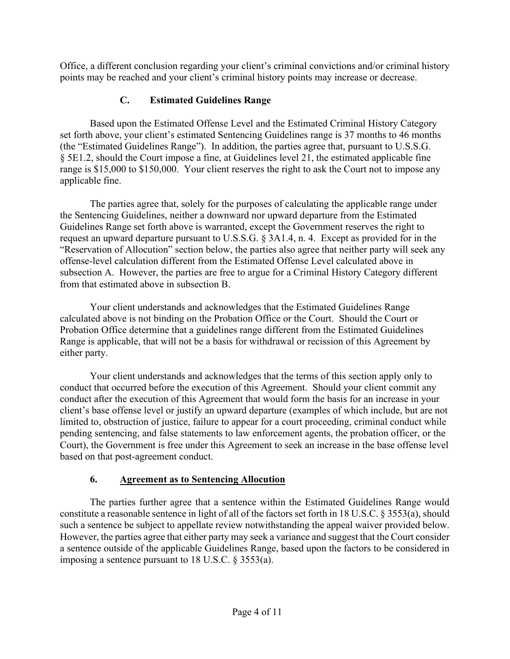Office, a different conclusion regarding your client's criminal convictions and/or criminal history points may be reached and your client's criminal history points may increase or decrease.

# **C. Estimated Guidelines Range**

Based upon the Estimated Offense Level and the Estimated Criminal History Category set forth above, your client's estimated Sentencing Guidelines range is 37 months to 46 months (the "Estimated Guidelines Range"). In addition, the parties agree that, pursuant to U.S.S.G. § 5E1.2, should the Court impose a fine, at Guidelines level 21, the estimated applicable fine range is \$15,000 to \$150,000. Your client reserves the right to ask the Court not to impose any applicable fine.

The parties agree that, solely for the purposes of calculating the applicable range under the Sentencing Guidelines, neither a downward nor upward departure from the Estimated Guidelines Range set forth above is warranted, except the Government reserves the right to request an upward departure pursuant to U.S.S.G. § 3A1.4, n. 4. Except as provided for in the "Reservation of Allocution" section below, the parties also agree that neither party will seek any offense-level calculation different from the Estimated Offense Level calculated above in subsection A. However, the parties are free to argue for a Criminal History Category different from that estimated above in subsection B.

Your client understands and acknowledges that the Estimated Guidelines Range calculated above is not binding on the Probation Office or the Court. Should the Court or Probation Office determine that a guidelines range different from the Estimated Guidelines Range is applicable, that will not be a basis for withdrawal or recission of this Agreement by either party.

Your client understands and acknowledges that the terms of this section apply only to conduct that occurred before the execution of this Agreement. Should your client commit any conduct after the execution of this Agreement that would form the basis for an increase in your client's base offense level or justify an upward departure (examples of which include, but are not limited to, obstruction of justice, failure to appear for a court proceeding, criminal conduct while pending sentencing, and false statements to law enforcement agents, the probation officer, or the Court), the Government is free under this Agreement to seek an increase in the base offense level based on that post-agreement conduct.

# **6. Agreement as to Sentencing Allocution**

The parties further agree that a sentence within the Estimated Guidelines Range would constitute a reasonable sentence in light of all of the factors set forth in 18 U.S.C. § 3553(a), should such a sentence be subject to appellate review notwithstanding the appeal waiver provided below. However, the parties agree that either party may seek a variance and suggest that the Court consider a sentence outside of the applicable Guidelines Range, based upon the factors to be considered in imposing a sentence pursuant to 18 U.S.C. § 3553(a).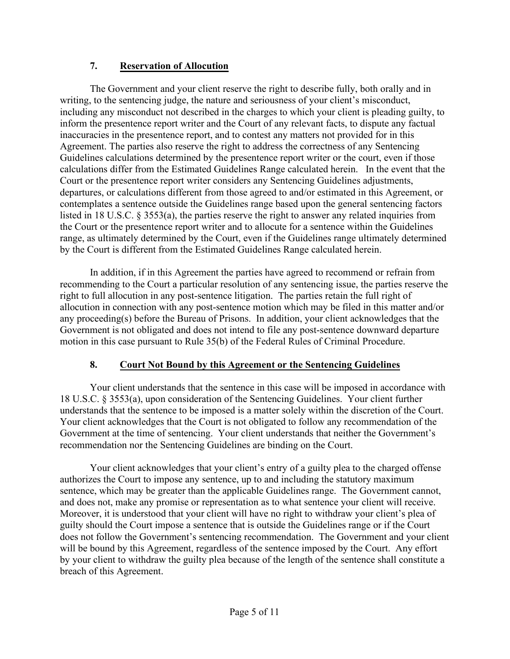#### **7. Reservation of Allocution**

The Government and your client reserve the right to describe fully, both orally and in writing, to the sentencing judge, the nature and seriousness of your client's misconduct, including any misconduct not described in the charges to which your client is pleading guilty, to inform the presentence report writer and the Court of any relevant facts, to dispute any factual inaccuracies in the presentence report, and to contest any matters not provided for in this Agreement. The parties also reserve the right to address the correctness of any Sentencing Guidelines calculations determined by the presentence report writer or the court, even if those calculations differ from the Estimated Guidelines Range calculated herein. In the event that the Court or the presentence report writer considers any Sentencing Guidelines adjustments, departures, or calculations different from those agreed to and/or estimated in this Agreement, or contemplates a sentence outside the Guidelines range based upon the general sentencing factors listed in 18 U.S.C. § 3553(a), the parties reserve the right to answer any related inquiries from the Court or the presentence report writer and to allocute for a sentence within the Guidelines range, as ultimately determined by the Court, even if the Guidelines range ultimately determined by the Court is different from the Estimated Guidelines Range calculated herein.

In addition, if in this Agreement the parties have agreed to recommend or refrain from recommending to the Court a particular resolution of any sentencing issue, the parties reserve the right to full allocution in any post-sentence litigation. The parties retain the full right of allocution in connection with any post-sentence motion which may be filed in this matter and/or any proceeding(s) before the Bureau of Prisons. In addition, your client acknowledges that the Government is not obligated and does not intend to file any post-sentence downward departure motion in this case pursuant to Rule 35(b) of the Federal Rules of Criminal Procedure.

#### **8. Court Not Bound by this Agreement or the Sentencing Guidelines**

Your client understands that the sentence in this case will be imposed in accordance with 18 U.S.C. § 3553(a), upon consideration of the Sentencing Guidelines. Your client further understands that the sentence to be imposed is a matter solely within the discretion of the Court. Your client acknowledges that the Court is not obligated to follow any recommendation of the Government at the time of sentencing. Your client understands that neither the Government's recommendation nor the Sentencing Guidelines are binding on the Court.

Your client acknowledges that your client's entry of a guilty plea to the charged offense authorizes the Court to impose any sentence, up to and including the statutory maximum sentence, which may be greater than the applicable Guidelines range. The Government cannot, and does not, make any promise or representation as to what sentence your client will receive. Moreover, it is understood that your client will have no right to withdraw your client's plea of guilty should the Court impose a sentence that is outside the Guidelines range or if the Court does not follow the Government's sentencing recommendation. The Government and your client will be bound by this Agreement, regardless of the sentence imposed by the Court. Any effort by your client to withdraw the guilty plea because of the length of the sentence shall constitute a breach of this Agreement.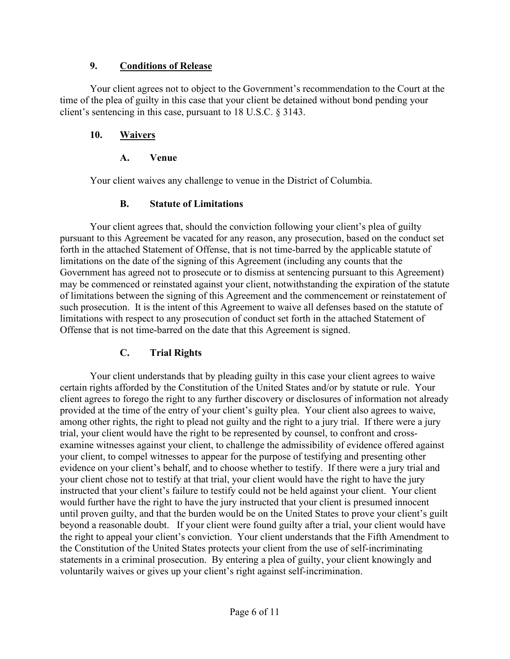#### **9. Conditions of Release**

Your client agrees not to object to the Government's recommendation to the Court at the time of the plea of guilty in this case that your client be detained without bond pending your client's sentencing in this case, pursuant to 18 U.S.C. § 3143.

### **10. Waivers**

### **A. Venue**

Your client waives any challenge to venue in the District of Columbia.

#### **B. Statute of Limitations**

Your client agrees that, should the conviction following your client's plea of guilty pursuant to this Agreement be vacated for any reason, any prosecution, based on the conduct set forth in the attached Statement of Offense, that is not time-barred by the applicable statute of limitations on the date of the signing of this Agreement (including any counts that the Government has agreed not to prosecute or to dismiss at sentencing pursuant to this Agreement) may be commenced or reinstated against your client, notwithstanding the expiration of the statute of limitations between the signing of this Agreement and the commencement or reinstatement of such prosecution. It is the intent of this Agreement to waive all defenses based on the statute of limitations with respect to any prosecution of conduct set forth in the attached Statement of Offense that is not time-barred on the date that this Agreement is signed.

# **C. Trial Rights**

Your client understands that by pleading guilty in this case your client agrees to waive certain rights afforded by the Constitution of the United States and/or by statute or rule. Your client agrees to forego the right to any further discovery or disclosures of information not already provided at the time of the entry of your client's guilty plea. Your client also agrees to waive, among other rights, the right to plead not guilty and the right to a jury trial. If there were a jury trial, your client would have the right to be represented by counsel, to confront and crossexamine witnesses against your client, to challenge the admissibility of evidence offered against your client, to compel witnesses to appear for the purpose of testifying and presenting other evidence on your client's behalf, and to choose whether to testify. If there were a jury trial and your client chose not to testify at that trial, your client would have the right to have the jury instructed that your client's failure to testify could not be held against your client. Your client would further have the right to have the jury instructed that your client is presumed innocent until proven guilty, and that the burden would be on the United States to prove your client's guilt beyond a reasonable doubt. If your client were found guilty after a trial, your client would have the right to appeal your client's conviction. Your client understands that the Fifth Amendment to the Constitution of the United States protects your client from the use of self-incriminating statements in a criminal prosecution. By entering a plea of guilty, your client knowingly and voluntarily waives or gives up your client's right against self-incrimination.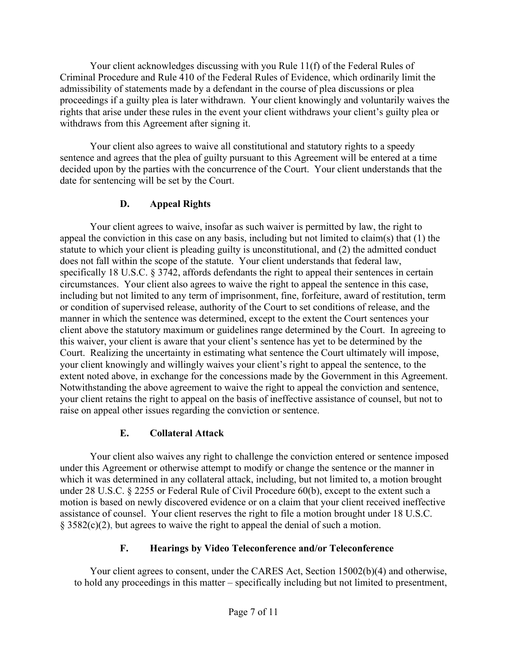Your client acknowledges discussing with you Rule 11(f) of the Federal Rules of Criminal Procedure and Rule 410 of the Federal Rules of Evidence, which ordinarily limit the admissibility of statements made by a defendant in the course of plea discussions or plea proceedings if a guilty plea is later withdrawn. Your client knowingly and voluntarily waives the rights that arise under these rules in the event your client withdraws your client's guilty plea or withdraws from this Agreement after signing it.

Your client also agrees to waive all constitutional and statutory rights to a speedy sentence and agrees that the plea of guilty pursuant to this Agreement will be entered at a time decided upon by the parties with the concurrence of the Court. Your client understands that the date for sentencing will be set by the Court.

# **D. Appeal Rights**

Your client agrees to waive, insofar as such waiver is permitted by law, the right to appeal the conviction in this case on any basis, including but not limited to claim(s) that (1) the statute to which your client is pleading guilty is unconstitutional, and (2) the admitted conduct does not fall within the scope of the statute. Your client understands that federal law, specifically 18 U.S.C. § 3742, affords defendants the right to appeal their sentences in certain circumstances. Your client also agrees to waive the right to appeal the sentence in this case, including but not limited to any term of imprisonment, fine, forfeiture, award of restitution, term or condition of supervised release, authority of the Court to set conditions of release, and the manner in which the sentence was determined, except to the extent the Court sentences your client above the statutory maximum or guidelines range determined by the Court. In agreeing to this waiver, your client is aware that your client's sentence has yet to be determined by the Court. Realizing the uncertainty in estimating what sentence the Court ultimately will impose, your client knowingly and willingly waives your client's right to appeal the sentence, to the extent noted above, in exchange for the concessions made by the Government in this Agreement. Notwithstanding the above agreement to waive the right to appeal the conviction and sentence, your client retains the right to appeal on the basis of ineffective assistance of counsel, but not to raise on appeal other issues regarding the conviction or sentence.

# **E. Collateral Attack**

Your client also waives any right to challenge the conviction entered or sentence imposed under this Agreement or otherwise attempt to modify or change the sentence or the manner in which it was determined in any collateral attack, including, but not limited to, a motion brought under 28 U.S.C. § 2255 or Federal Rule of Civil Procedure 60(b), except to the extent such a motion is based on newly discovered evidence or on a claim that your client received ineffective assistance of counsel. Your client reserves the right to file a motion brought under 18 U.S.C. § 3582(c)(2), but agrees to waive the right to appeal the denial of such a motion.

# **F. Hearings by Video Teleconference and/or Teleconference**

Your client agrees to consent, under the CARES Act, Section 15002(b)(4) and otherwise, to hold any proceedings in this matter – specifically including but not limited to presentment,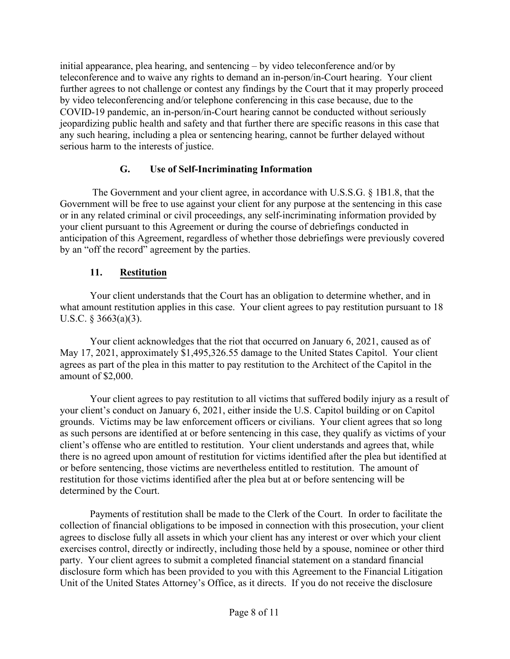initial appearance, plea hearing, and sentencing – by video teleconference and/or by teleconference and to waive any rights to demand an in-person/in-Court hearing. Your client further agrees to not challenge or contest any findings by the Court that it may properly proceed by video teleconferencing and/or telephone conferencing in this case because, due to the COVID-19 pandemic, an in-person/in-Court hearing cannot be conducted without seriously jeopardizing public health and safety and that further there are specific reasons in this case that any such hearing, including a plea or sentencing hearing, cannot be further delayed without serious harm to the interests of justice.

### **G. Use of Self-Incriminating Information**

 The Government and your client agree, in accordance with U.S.S.G. § 1B1.8, that the Government will be free to use against your client for any purpose at the sentencing in this case or in any related criminal or civil proceedings, any self-incriminating information provided by your client pursuant to this Agreement or during the course of debriefings conducted in anticipation of this Agreement, regardless of whether those debriefings were previously covered by an "off the record" agreement by the parties.

### **11. Restitution**

Your client understands that the Court has an obligation to determine whether, and in what amount restitution applies in this case. Your client agrees to pay restitution pursuant to 18 U.S.C. § 3663(a)(3).

Your client acknowledges that the riot that occurred on January 6, 2021, caused as of May 17, 2021, approximately \$1,495,326.55 damage to the United States Capitol. Your client agrees as part of the plea in this matter to pay restitution to the Architect of the Capitol in the amount of \$2,000.

Your client agrees to pay restitution to all victims that suffered bodily injury as a result of your client's conduct on January 6, 2021, either inside the U.S. Capitol building or on Capitol grounds. Victims may be law enforcement officers or civilians. Your client agrees that so long as such persons are identified at or before sentencing in this case, they qualify as victims of your client's offense who are entitled to restitution. Your client understands and agrees that, while there is no agreed upon amount of restitution for victims identified after the plea but identified at or before sentencing, those victims are nevertheless entitled to restitution. The amount of restitution for those victims identified after the plea but at or before sentencing will be determined by the Court.

Payments of restitution shall be made to the Clerk of the Court. In order to facilitate the collection of financial obligations to be imposed in connection with this prosecution, your client agrees to disclose fully all assets in which your client has any interest or over which your client exercises control, directly or indirectly, including those held by a spouse, nominee or other third party. Your client agrees to submit a completed financial statement on a standard financial disclosure form which has been provided to you with this Agreement to the Financial Litigation Unit of the United States Attorney's Office, as it directs. If you do not receive the disclosure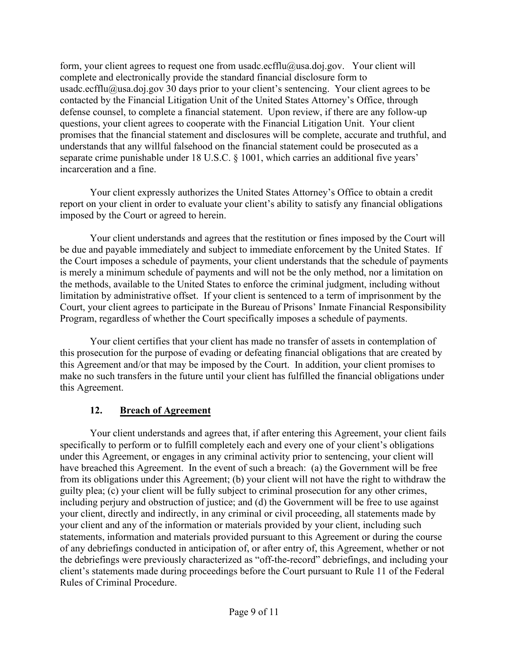form, your client agrees to request one from usadc.ecfflu@usa.doj.gov. Your client will complete and electronically provide the standard financial disclosure form to usadc.ecfflu@usa.doj.gov 30 days prior to your client's sentencing. Your client agrees to be contacted by the Financial Litigation Unit of the United States Attorney's Office, through defense counsel, to complete a financial statement. Upon review, if there are any follow-up questions, your client agrees to cooperate with the Financial Litigation Unit. Your client promises that the financial statement and disclosures will be complete, accurate and truthful, and understands that any willful falsehood on the financial statement could be prosecuted as a separate crime punishable under 18 U.S.C. § 1001, which carries an additional five years' incarceration and a fine.

Your client expressly authorizes the United States Attorney's Office to obtain a credit report on your client in order to evaluate your client's ability to satisfy any financial obligations imposed by the Court or agreed to herein.

Your client understands and agrees that the restitution or fines imposed by the Court will be due and payable immediately and subject to immediate enforcement by the United States. If the Court imposes a schedule of payments, your client understands that the schedule of payments is merely a minimum schedule of payments and will not be the only method, nor a limitation on the methods, available to the United States to enforce the criminal judgment, including without limitation by administrative offset. If your client is sentenced to a term of imprisonment by the Court, your client agrees to participate in the Bureau of Prisons' Inmate Financial Responsibility Program, regardless of whether the Court specifically imposes a schedule of payments.

Your client certifies that your client has made no transfer of assets in contemplation of this prosecution for the purpose of evading or defeating financial obligations that are created by this Agreement and/or that may be imposed by the Court. In addition, your client promises to make no such transfers in the future until your client has fulfilled the financial obligations under this Agreement.

#### **12. Breach of Agreement**

Your client understands and agrees that, if after entering this Agreement, your client fails specifically to perform or to fulfill completely each and every one of your client's obligations under this Agreement, or engages in any criminal activity prior to sentencing, your client will have breached this Agreement. In the event of such a breach: (a) the Government will be free from its obligations under this Agreement; (b) your client will not have the right to withdraw the guilty plea; (c) your client will be fully subject to criminal prosecution for any other crimes, including perjury and obstruction of justice; and (d) the Government will be free to use against your client, directly and indirectly, in any criminal or civil proceeding, all statements made by your client and any of the information or materials provided by your client, including such statements, information and materials provided pursuant to this Agreement or during the course of any debriefings conducted in anticipation of, or after entry of, this Agreement, whether or not the debriefings were previously characterized as "off-the-record" debriefings, and including your client's statements made during proceedings before the Court pursuant to Rule 11 of the Federal Rules of Criminal Procedure.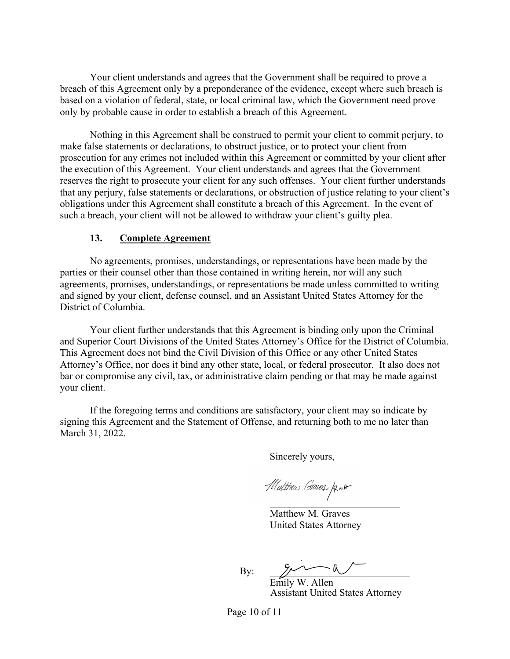Your client understands and agrees that the Government shall be required to prove a breach of this Agreement only by a preponderance of the evidence, except where such breach is based on a violation of federal, state, or local criminal law, which the Government need prove only by probable cause in order to establish a breach of this Agreement.

Nothing in this Agreement shall be construed to permit your client to commit perjury, to make false statements or declarations, to obstruct justice, or to protect your client from prosecution for any crimes not included within this Agreement or committed by your client after the execution of this Agreement. Your client understands and agrees that the Government reserves the right to prosecute your client for any such offenses. Your client further understands that any perjury, false statements or declarations, or obstruction of justice relating to your client's obligations under this Agreement shall constitute a breach of this Agreement. In the event of such a breach, your client will not be allowed to withdraw your client's guilty plea.

#### **13. Complete Agreement**

No agreements, promises, understandings, or representations have been made by the parties or their counsel other than those contained in writing herein, nor will any such agreements, promises, understandings, or representations be made unless committed to writing and signed by your client, defense counsel, and an Assistant United States Attorney for the District of Columbia.

Your client further understands that this Agreement is binding only upon the Criminal and Superior Court Divisions of the United States Attorney's Office for the District of Columbia. This Agreement does not bind the Civil Division of this Office or any other United States Attorney's Office, nor does it bind any other state, local, or federal prosecutor. It also does not bar or compromise any civil, tax, or administrative claim pending or that may be made against your client.

If the foregoing terms and conditions are satisfactory, your client may so indicate by signing this Agreement and the Statement of Offense, and returning both to me no later than March 31, 2022.

Sincerely yours,

 $\frac{1}{2}$ 

Matthew M. Graves United States Attorney

By:  $\mathbb{Z}$ 

Emily W. Allen Assistant United States Attorney

Page 10 of 11